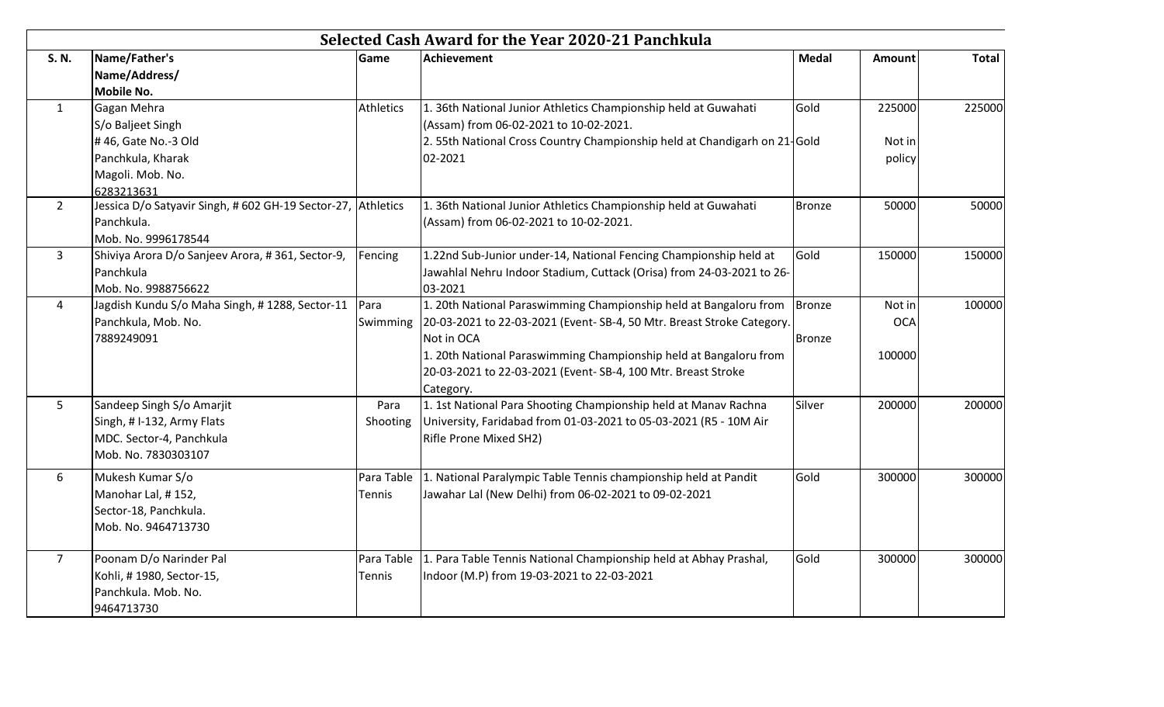| S. N.          | Name/Father's                                                | Game             | <b>Achievement</b>                                                        | <b>Medal</b>  | Amount     | <b>Total</b> |
|----------------|--------------------------------------------------------------|------------------|---------------------------------------------------------------------------|---------------|------------|--------------|
|                | Name/Address/                                                |                  |                                                                           |               |            |              |
|                | <b>Mobile No.</b>                                            |                  |                                                                           |               |            |              |
| $\mathbf{1}$   | Gagan Mehra                                                  | <b>Athletics</b> | 1. 36th National Junior Athletics Championship held at Guwahati           | Gold          | 225000     | 225000       |
|                | S/o Baljeet Singh                                            |                  | (Assam) from 06-02-2021 to 10-02-2021.                                    |               |            |              |
|                | #46, Gate No.-3 Old                                          |                  | 2. 55th National Cross Country Championship held at Chandigarh on 21-Gold |               | Not in     |              |
|                | Panchkula, Kharak                                            |                  | 02-2021                                                                   |               | policy     |              |
|                | Magoli. Mob. No.                                             |                  |                                                                           |               |            |              |
|                | 6283213631                                                   |                  |                                                                           |               |            |              |
| $2^{\circ}$    | Jessica D/o Satyavir Singh, # 602 GH-19 Sector-27, Athletics |                  | 1. 36th National Junior Athletics Championship held at Guwahati           | <b>Bronze</b> | 50000      | 50000        |
|                | Panchkula.                                                   |                  | (Assam) from 06-02-2021 to 10-02-2021.                                    |               |            |              |
|                | Mob. No. 9996178544                                          |                  |                                                                           |               |            |              |
| $\mathbf{3}$   | Shiviya Arora D/o Sanjeev Arora, #361, Sector-9,             | Fencing          | 1.22nd Sub-Junior under-14, National Fencing Championship held at         | Gold          | 150000     | 150000       |
|                | Panchkula                                                    |                  | Jawahlal Nehru Indoor Stadium, Cuttack (Orisa) from 24-03-2021 to 26-     |               |            |              |
|                | Mob. No. 9988756622                                          |                  | 03-2021                                                                   |               |            |              |
| $\overline{4}$ | Jagdish Kundu S/o Maha Singh, #1288, Sector-11               | Para             | 1. 20th National Paraswimming Championship held at Bangaloru from         | Bronze        | Not in     | 100000       |
|                | Panchkula, Mob. No.                                          | Swimming         | 20-03-2021 to 22-03-2021 (Event-SB-4, 50 Mtr. Breast Stroke Category.     |               | <b>OCA</b> |              |
|                | 7889249091                                                   |                  | Not in OCA                                                                | Bronze        |            |              |
|                |                                                              |                  | 1. 20th National Paraswimming Championship held at Bangaloru from         |               | 100000     |              |
|                |                                                              |                  | 20-03-2021 to 22-03-2021 (Event-SB-4, 100 Mtr. Breast Stroke              |               |            |              |
|                |                                                              |                  | Category.                                                                 |               |            |              |
| 5              | Sandeep Singh S/o Amarjit                                    | Para             | 1. 1st National Para Shooting Championship held at Manav Rachna           | Silver        | 200000     | 200000       |
|                | Singh, # I-132, Army Flats                                   | Shooting         | University, Faridabad from 01-03-2021 to 05-03-2021 (R5 - 10M Air         |               |            |              |
|                | MDC. Sector-4, Panchkula                                     |                  | Rifle Prone Mixed SH2)                                                    |               |            |              |
|                | Mob. No. 7830303107                                          |                  |                                                                           |               |            |              |
| 6              | Mukesh Kumar S/o                                             | Para Table       | 1. National Paralympic Table Tennis championship held at Pandit           | Gold          | 300000     | 300000       |
|                | Manohar Lal, #152,                                           | Tennis           | Jawahar Lal (New Delhi) from 06-02-2021 to 09-02-2021                     |               |            |              |
|                | Sector-18, Panchkula.                                        |                  |                                                                           |               |            |              |
|                | Mob. No. 9464713730                                          |                  |                                                                           |               |            |              |
|                |                                                              |                  |                                                                           |               |            |              |
| $\overline{7}$ | Poonam D/o Narinder Pal                                      | Para Table       | 1. Para Table Tennis National Championship held at Abhay Prashal,         | Gold          | 300000     | 300000       |
|                | Kohli, #1980, Sector-15,                                     | Tennis           | Indoor (M.P) from 19-03-2021 to 22-03-2021                                |               |            |              |
|                | Panchkula. Mob. No.                                          |                  |                                                                           |               |            |              |
|                | 9464713730                                                   |                  |                                                                           |               |            |              |